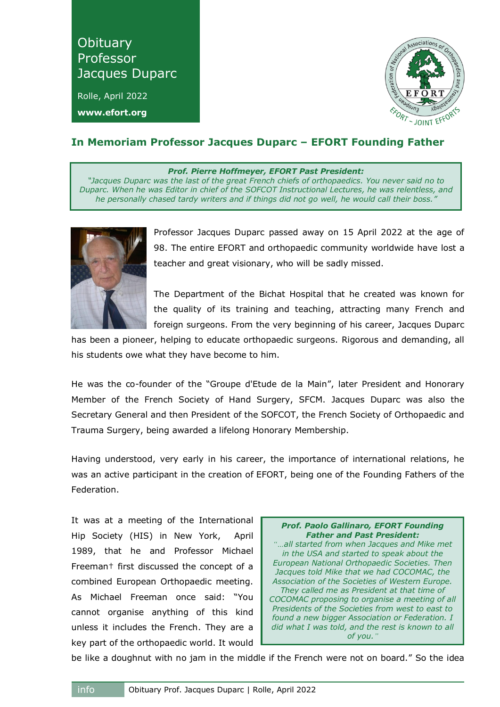**Obituary** Professor Jacques Duparc

Rolle, April 2022 **www.efort.org**



## **In Memoriam Professor Jacques Duparc – EFORT Founding Father**

*Prof. Pierre Hoffmeyer, EFORT Past President:*

*"Jacques Duparc was the last of the great French chiefs of orthopaedics. You never said no to Duparc. When he was Editor in chief of the SOFCOT Instructional Lectures, he was relentless, and he personally chased tardy writers and if things did not go well, he would call their boss."*



Professor Jacques Duparc passed away on 15 April 2022 at the age of 98. The entire EFORT and orthopaedic community worldwide have lost a teacher and great visionary, who will be sadly missed.

The Department of the Bichat Hospital that he created was known for the quality of its training and teaching, attracting many French and foreign surgeons. From the very beginning of his career, Jacques Duparc

has been a pioneer, helping to educate orthopaedic surgeons. Rigorous and demanding, all his students owe what they have become to him.

He was the co-founder of the "Groupe d'Etude de la Main", later President and Honorary Member of the French Society of Hand Surgery, SFCM. Jacques Duparc was also the Secretary General and then President of the SOFCOT, the French Society of Orthopaedic and Trauma Surgery, being awarded a lifelong Honorary Membership.

Having understood, very early in his career, the importance of international relations, he was an active participant in the creation of EFORT, being one of the Founding Fathers of the Federation.

It was at a meeting of the International Hip Society (HIS) in New York, April 1989, that he and Professor Michael Freeman† first discussed the concept of a combined European Orthopaedic meeting. As Michael Freeman once said: "You cannot organise anything of this kind unless it includes the French. They are a key part of the orthopaedic world. It would



be like a doughnut with no jam in the middle if the French were not on board." So the idea